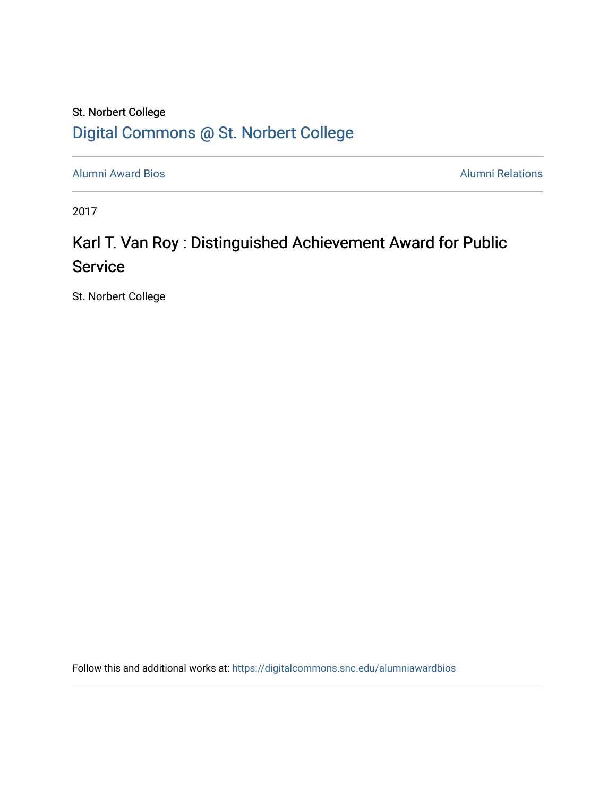### St. Norbert College [Digital Commons @ St. Norbert College](https://digitalcommons.snc.edu/)

[Alumni Award Bios](https://digitalcommons.snc.edu/alumniawardbios) **Alumni Relations** Alumni Relations

2017

## Karl T. Van Roy : Distinguished Achievement Award for Public **Service**

St. Norbert College

Follow this and additional works at: [https://digitalcommons.snc.edu/alumniawardbios](https://digitalcommons.snc.edu/alumniawardbios?utm_source=digitalcommons.snc.edu%2Falumniawardbios%2F72&utm_medium=PDF&utm_campaign=PDFCoverPages)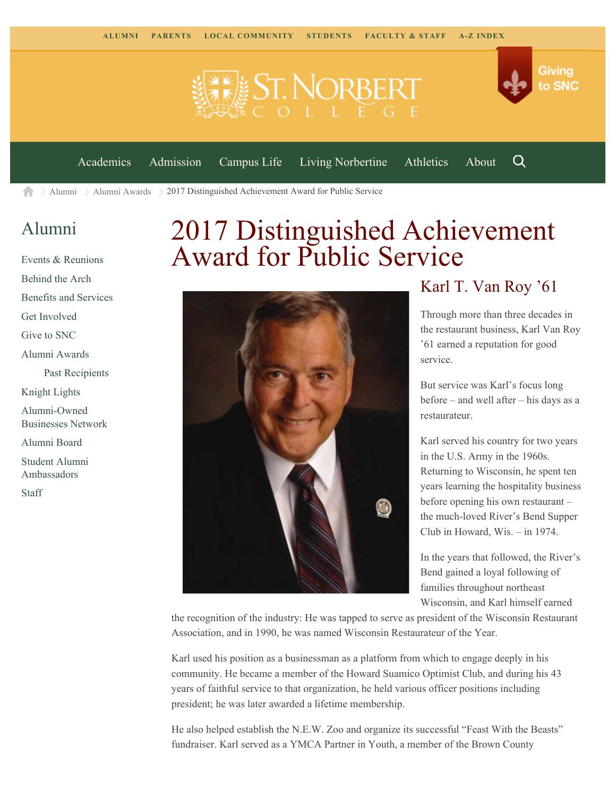



Q

[Academics](https://www.snc.edu/academics) [Admission](https://www.snc.edu/admission) [Campus Life](https://www.snc.edu/campuslife) [Living Norbertine](https://www.snc.edu/livingnorbertine) [Athletics](https://www.snc.edu/athletics) [About](https://www.snc.edu/about)

[Alumni](https://www.snc.edu/alumni/) [Alumni Awards](https://www.snc.edu/alumni/awards/) 2017 Distinguished Achievement Award for Public Service A

#### [Alumni](https://www.snc.edu/alumni/index.html)

[Events & Reunions](https://www.snc.edu/alumni/event/index.html) [Behind the Arch](https://www.snc.edu/alumni/event/behindthearch/) [Benefits and Services](https://www.snc.edu/alumni/benefits.html) [Get Involved](https://www.snc.edu/alumni/getinvolved.html) [Give to SNC](http://giving.snc.edu/) [Alumni Awards](https://www.snc.edu/alumni/awards/index.html) [Past Recipients](https://www.snc.edu/alumni/awards/recipients.html) [Knight Lights](https://www.snc.edu/alumni/knightlights/index.html) [Alumni-Owned](https://www.snc.edu/alumni/directory/index.html) [Businesses Network](https://www.snc.edu/alumni/directory/index.html) [Alumni Board](https://www.snc.edu/alumni/alumniboard.html) [Student Alumni](https://www.snc.edu/alumni/saa.html) [Ambassadors](https://www.snc.edu/alumni/saa.html) [Staff](https://www.snc.edu/alumni/contactus.html)

# 2017 Distinguished Achievement Award for Public Service



#### Karl T. Van Roy '61

Through more than three decades in the restaurant business, Karl Van Roy '61 earned a reputation for good service.

But service was Karl's focus long before – and well after – his days as a restaurateur.

Karl served his country for two years in the U.S. Army in the 1960s. Returning to Wisconsin, he spent ten years learning the hospitality business before opening his own restaurant – the much-loved River's Bend Supper Club in Howard, Wis. – in 1974.

In the years that followed, the River's Bend gained a loyal following of families throughout northeast Wisconsin, and Karl himself earned

the recognition of the industry: He was tapped to serve as president of the Wisconsin Restaurant Association, and in 1990, he was named Wisconsin Restaurateur of the Year.

Karl used his position as a businessman as a platform from which to engage deeply in his community. He became a member of the Howard Suamico Optimist Club, and during his 43 years of faithful service to that organization, he held various officer positions including president; he was later awarded a lifetime membership.

He also helped establish the N.E.W. Zoo and organize its successful "Feast With the Beasts" fundraiser. Karl served as a YMCA Partner in Youth, a member of the Brown County